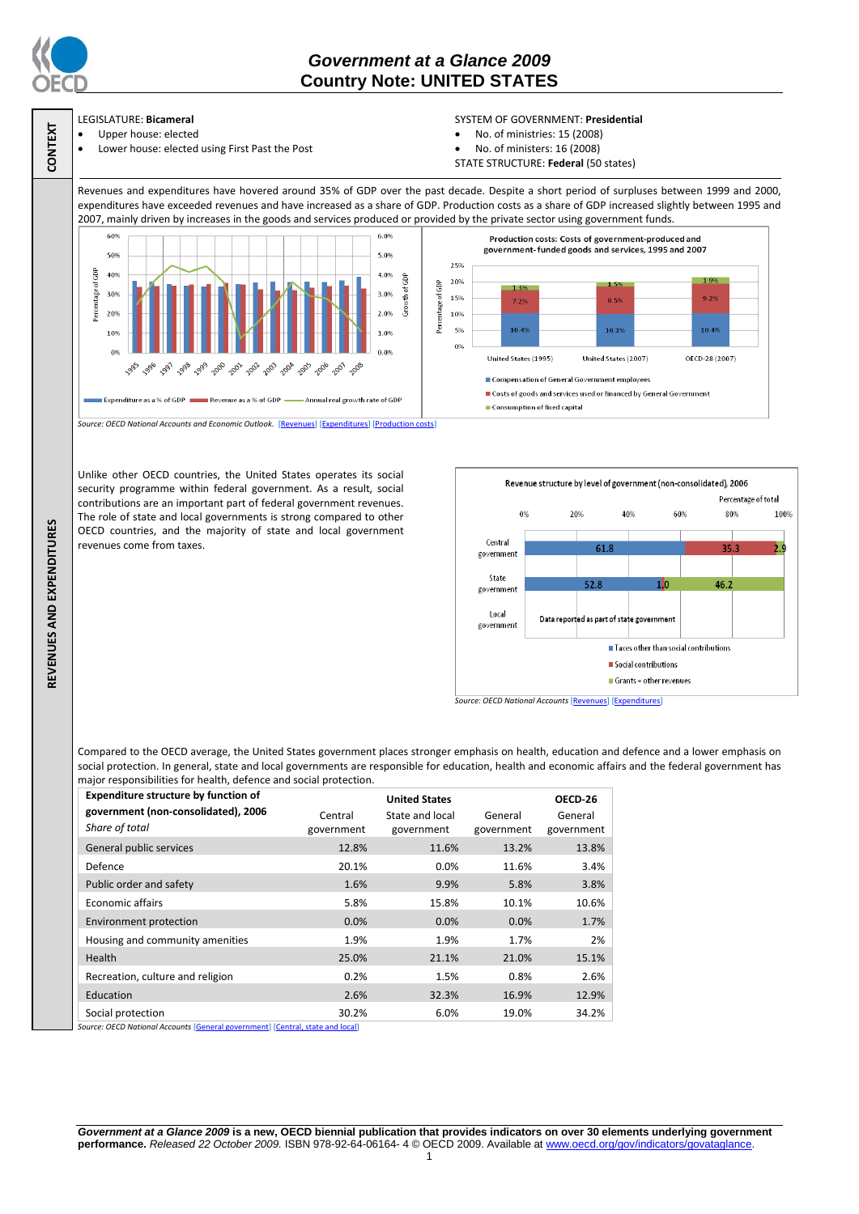

**CONTEXT**

**REVENUES AND EXPENDITURES**

REVENUES AND EXPENDITURES

## *Government at a Glance 2009*  **Country Note: UNITED STATES**

# LEGISLATURE: **Bicameral**

- Upper house: elected
- Lower house: elected using First Past the Post

### SYSTEM OF GOVERNMENT: **Presidential**

- No. of ministries: 15 (2008)
- No. of ministers: 16 (2008)
- STATE STRUCTURE: **Federal** (50 states)

Revenues and expenditures have hovered around 35% of GDP over the past decade. Despite a short period of surpluses between 1999 and 2000, expenditures have exceeded revenues and have increased as a share of GDP. Production costs as a share of GDP increased slightly between 1995 and 2007, mainly driven by increases in the goods and services produced or provided by the private sector using government funds.



Unlike other OECD countries, the United States operates its social security programme within federal government. As a result, social contributions are an important part of federal government revenues. The role of state and local governments is strong compared to other OECD countries, and the majority of state and local government revenues come from taxes.



Compared to the OECD average, the United States government places stronger emphasis on health, education and defence and a lower emphasis on social protection. In general, state and local governments are responsible for education, health and economic affairs and the federal government has major responsibilities for health, defence and social protection.

|            | <b>United States</b> |            | OECD-26    |
|------------|----------------------|------------|------------|
| Central    | State and local      | General    | General    |
| government | government           | government | government |
| 12.8%      | 11.6%                | 13.2%      | 13.8%      |
| 20.1%      | $0.0\%$              | 11.6%      | 3.4%       |
| 1.6%       | 9.9%                 | 5.8%       | 3.8%       |
| 5.8%       | 15.8%                | 10.1%      | 10.6%      |
| 0.0%       | 0.0%                 | 0.0%       | 1.7%       |
| 1.9%       | 1.9%                 | 1.7%       | 2%         |
| 25.0%      | 21.1%                | 21.0%      | 15.1%      |
| 0.2%       | 1.5%                 | 0.8%       | 2.6%       |
| 2.6%       | 32.3%                | 16.9%      | 12.9%      |
| 30.2%      | 6.0%                 | 19.0%      | 34.2%      |
|            |                      |            |            |

*Government at a Glance 2009* **is a new, OECD biennial publication that provides indicators on over 30 elements underlying government performance.** *Released 22 October 2009.* ISBN 978-92-64-06164- 4 © OECD 2009. Available at www.oecd.org/gov/indicators/govataglance.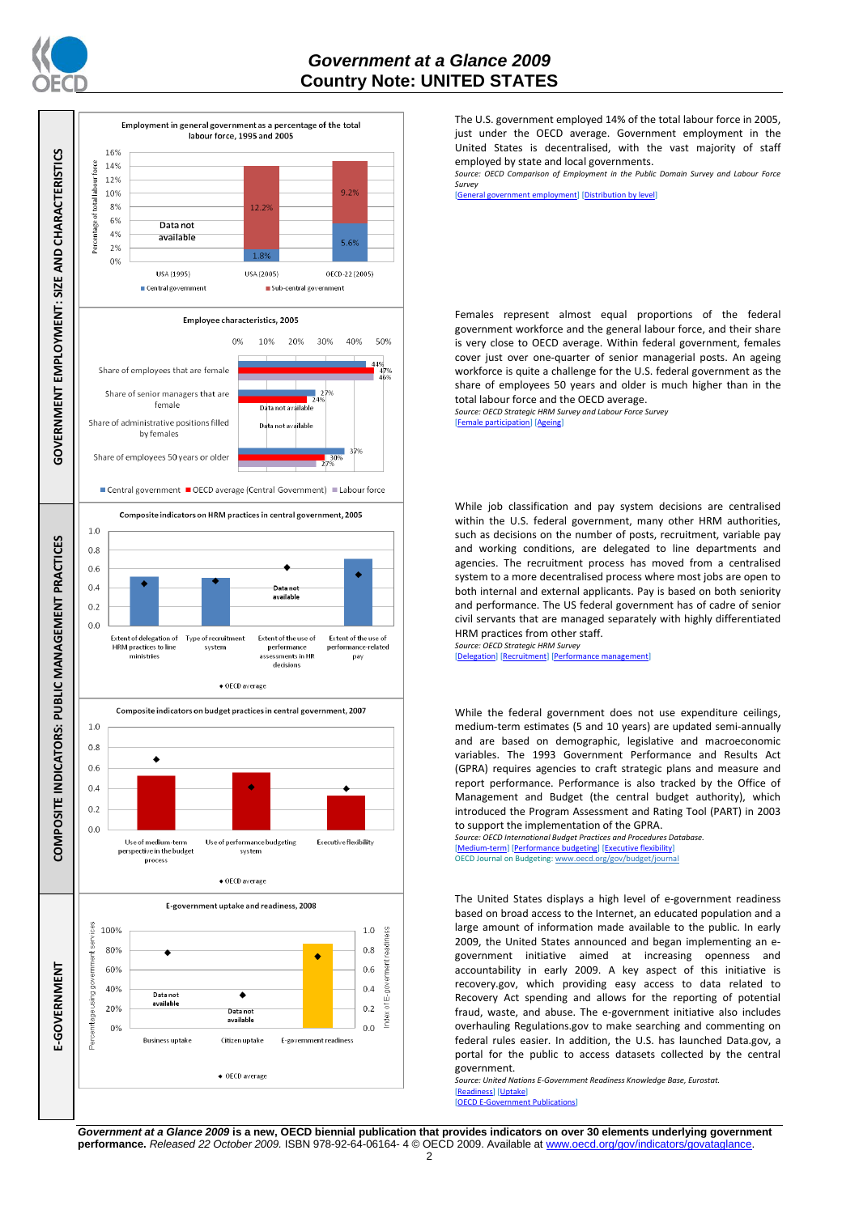



The U.S. government employed 14% of the total labour force in 2005, just under the OECD average. Government employment in the United States is decentralised, with the vast majority of staff employed by state and local governments.

*Source: OECD Comparison of Employment in the Public Domain Survey and Labour Force Survey*

[\[General government employment\]](http://dx.doi.org/10.1787/723622503117) [\[Distribution by level\]](http://dx.doi.org/10.1787/723627140760)

Females represent almost equal proportions of the federal government workforce and the general labour force, and their share is very close to OECD average. Within federal government, females cover just over one-quarter of senior managerial posts. An ageing workforce is quite a challenge for the U.S. federal government as the share of employees 50 years and older is much higher than in the total labour force and the OECD average.

*Source: OECD Strategic HRM Survey and Labour Force Survey* [\[Female participation\]](http://dx.doi.org/10.1787/723642841533) [\[Ageing\]](http://dx.doi.org/10.1787/723656070327)

While job classification and pay system decisions are centralised within the U.S. federal government, many other HRM authorities, such as decisions on the number of posts, recruitment, variable pay and working conditions, are delegated to line departments and agencies. The recruitment process has moved from a centralised system to a more decentralised process where most jobs are open to both internal and external applicants. Pay is based on both seniority and performance. The US federal government has of cadre of senior civil servants that are managed separately with highly differentiated HRM practices from other staff.

*Source: OECD Strategic HRM Survey*  [\[Delegation\]](http://dx.doi.org/10.1787/723663744332) [\[Recruitment\]](http://dx.doi.org/10.1787/723668744361) [\[Performance management\]](http://dx.doi.org/10.1787/723750171710)

While the federal government does not use expenditure ceilings, medium-term estimates (5 and 10 years) are updated semi-annually and are based on demographic, legislative and macroeconomic variables. The 1993 Government Performance and Results Act (GPRA) requires agencies to craft strategic plans and measure and report performance. Performance is also tracked by the Office of Management and Budget (the central budget authority), which introduced the Program Assessment and Rating Tool (PART) in 2003 to support the implementation of the GPRA.

*Source: OECD International Budget Practices and Procedures Database.* [\[Medium-term\]](http://dx.doi.org/10.1787/723856770865) [\[Performance budgeting\]](http://dx.doi.org/10.1787/723863437686) [\[Executive flexibility\]](http://dx.doi.org/10.1787/723876713213) OECD Journal on Budgeting[: www.oecd.org/gov/budget/journal](http://www.oecd.org/gov/budget/journal)

The United States displays a high level of e-government readiness based on broad access to the Internet, an educated population and a large amount of information made available to the public. In early 2009, the United States announced and began implementing an egovernment initiative aimed at increasing openness and accountability in early 2009. A key aspect of this initiative is recovery.gov, which providing easy access to data related to Recovery Act spending and allows for the reporting of potential fraud, waste, and abuse. The e-government initiative also includes overhauling Regulations.gov to make searching and commenting on federal rules easier. In addition, the U.S. has launched Data.gov, a portal for the public to access datasets collected by the central government.

*Source: United Nations E-Government Readiness Knowledge Base, Eurostat.* [\[Readiness\]](http://dx.doi.org/10.1787/724248078408) [\[Uptake\]](http://dx.doi.org/10.1787/724264662272)

 $[OECD]$  E-Go

*Government at a Glance 2009* **is a new, OECD biennial publication that provides indicators on over 30 elements underlying government performance.** *Released 22 October 2009.* ISBN 978-92-64-06164- 4 © OECD 2009. Available at www.oecd.org/gov/indicators/govataglance.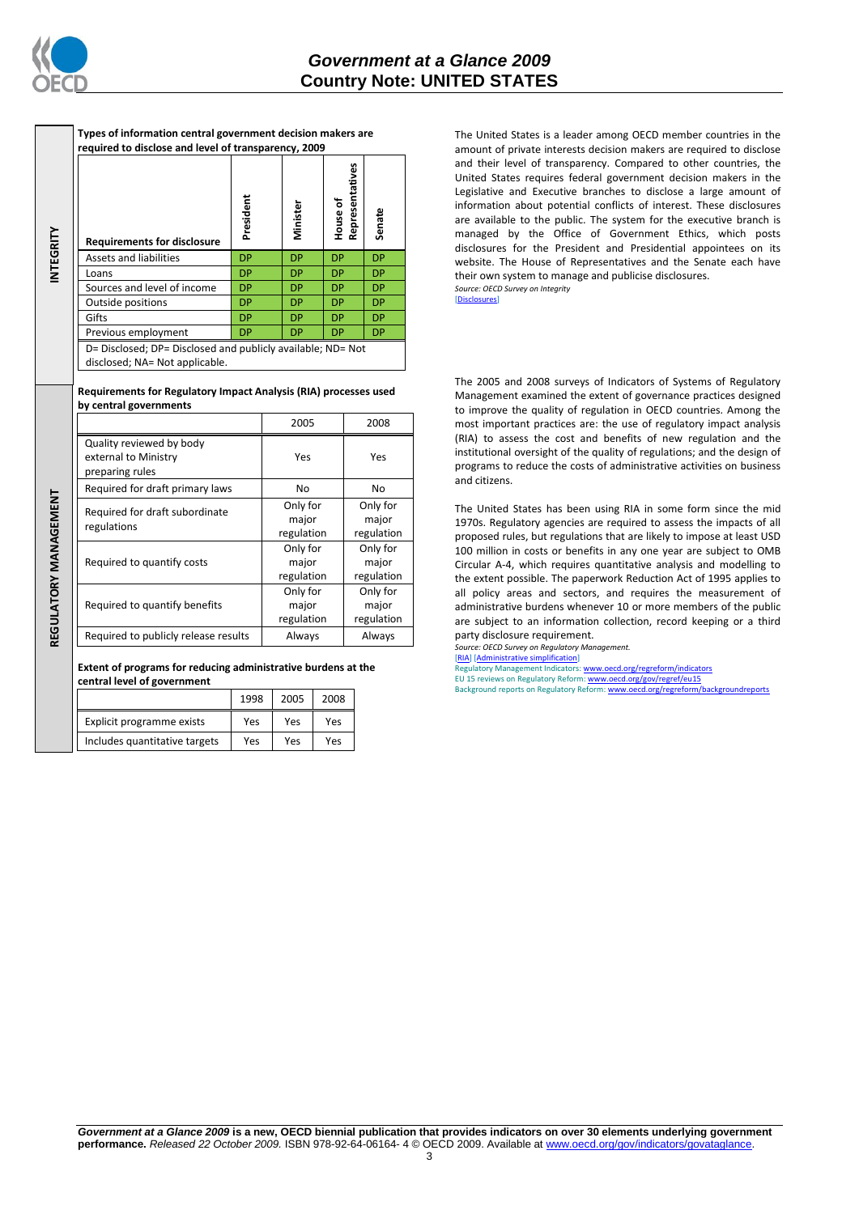

**INTEGRITY**

REGULATORY MANAGEMENT **REGULATORY MANAGEMENT**

**Types of information central government decision makers are required to disclose and level of transparency, 2009**

| <b>Requirements for disclosure</b>                                                            | President | Minister  | Representatives<br>House of | Senate    |
|-----------------------------------------------------------------------------------------------|-----------|-----------|-----------------------------|-----------|
| <b>Assets and liabilities</b>                                                                 | <b>DP</b> | <b>DP</b> | <b>DP</b>                   | <b>DP</b> |
| Loans                                                                                         | <b>DP</b> | <b>DP</b> | <b>DP</b>                   | <b>DP</b> |
| Sources and level of income                                                                   | <b>DP</b> | DP        | <b>DP</b>                   | <b>DP</b> |
| Outside positions                                                                             | <b>DP</b> | DP        | <b>DP</b>                   | <b>DP</b> |
| Gifts                                                                                         | <b>DP</b> | DP        | <b>DP</b>                   | <b>DP</b> |
| Previous employment                                                                           | <b>DP</b> | DP        | <b>DP</b>                   | DP.       |
| D= Disclosed; DP= Disclosed and publicly available; ND= Not<br>disclosed; NA= Not applicable. |           |           |                             |           |

### **Requirements for Regulatory Impact Analysis (RIA) processes used by central governments**

|                                                                     | 2005       | 2008           |  |
|---------------------------------------------------------------------|------------|----------------|--|
| Quality reviewed by body<br>external to Ministry<br>preparing rules | Yes        | Yes            |  |
| Required for draft primary laws                                     | No         | N <sub>0</sub> |  |
| Required for draft subordinate                                      | Only for   | Only for       |  |
| regulations                                                         | major      | major          |  |
|                                                                     | regulation | regulation     |  |
|                                                                     | Only for   | Only for       |  |
| Required to quantify costs                                          | major      | major          |  |
|                                                                     | regulation | regulation     |  |
|                                                                     | Only for   | Only for       |  |
| Required to quantify benefits                                       | major      | major          |  |
|                                                                     | regulation | regulation     |  |
| Required to publicly release results                                | Always     | Always         |  |

**Extent of programs for reducing administrative burdens at the central level of government**

|                               | 1998 | 2005 | 2008 |
|-------------------------------|------|------|------|
| Explicit programme exists     | Yes  | Yes  | Yes  |
| Includes quantitative targets | Yes  | Yes  | Yes  |

The United States is a leader among OECD member countries in the amount of private interests decision makers are required to disclose and their level of transparency. Compared to other countries, the United States requires federal government decision makers in the Legislative and Executive branches to disclose a large amount of information about potential conflicts of interest. These disclosures are available to the public. The system for the executive branch is managed by the Office of Government Ethics, which posts disclosures for the President and Presidential appointees on its website. The House of Representatives and the Senate each have their own system to manage and publicise disclosures. *Source: OECD Survey on Integrity*

[\[Disclosures\]](http://dx.doi.org/10.1787/724123642681)

The 2005 and 2008 surveys of Indicators of Systems of Regulatory Management examined the extent of governance practices designed to improve the quality of regulation in OECD countries. Among the most important practices are: the use of regulatory impact analysis (RIA) to assess the cost and benefits of new regulation and the institutional oversight of the quality of regulations; and the design of programs to reduce the costs of administrative activities on business and citizens.

The United States has been using RIA in some form since the mid 1970s. Regulatory agencies are required to assess the impacts of all proposed rules, but regulations that are likely to impose at least USD 100 million in costs or benefits in any one year are subject to OMB Circular A-4, which requires quantitative analysis and modelling to the extent possible. The paperwork Reduction Act of 1995 applies to all policy areas and sectors, and requires the measurement of administrative burdens whenever 10 or more members of the public are subject to an information collection, record keeping or a third party disclosure requirement.

*Source: OECD Survey on Regulatory Management.* [\[RIA\]](http://dx.doi.org/10.1787/724045144354) [\[Administrative simplification\]](http://dx.doi.org/10.1787/724058851054)<br>Regulatory Management Indicators[: www.oecd.org/regreform/indicators](http://www.oecd.org/regreform/indicators) EU 15 reviews on Regulatory Reform[: www.oecd.org/gov/regref/eu15](http://www.oecd.org/gov/regref/eu15) Background reports on Regulatory Reform: www.oecd.org/regreform